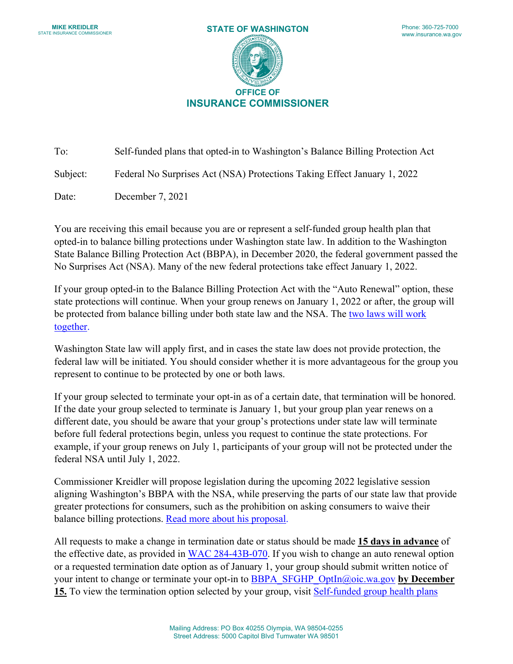

To: Subject: Self-funded plans that opted-in to Washington's Balance Billing Protection Act Federal No Surprises Act (NSA) Protections Taking Effect January 1, 2022

Date: December 7, 2021

 No Surprises Act (NSA). Many of the new federal protections take effect January 1, 2022. You are receiving this email because you are or represent a self-funded group health plan that opted-in to balance billing protections under Washington state law. In addition to the Washington State Balance Billing Protection Act (BBPA), in December 2020, the federal government passed the

be protected from balance billing under both state law and the NSA. The two laws will work If your group opted-in to the Balance Billing Protection Act with the "Auto Renewal" option, these state protections will continue. When your group renews on January 1, 2022 or after, the group will [together.](https://www.insurance.wa.gov/sites/default/files/documents/taa-2021_0.pdf)

 represent to continue to be protected by one or both laws. Washington State law will apply first, and in cases the state law does not provide protection, the federal law will be initiated. You should consider whether it is more advantageous for the group you

 before full federal protections begin, unless you request to continue the state protections. For If your group selected to terminate your opt-in as of a certain date, that termination will be honored. If the date your group selected to terminate is January 1, but your group plan year renews on a different date, you should be aware that your group's protections under state law will terminate example, if your group renews on July 1, participants of your group will not be protected under the federal NSA until July 1, 2022.

Commissioner Kreidler will propose legislation during the upcoming 2022 legislative session aligning Washington's BBPA with the NSA, while preserving the parts of our state law that provide greater protections for consumers, such as the prohibition on asking consumers to waive their balance billing protections. [Read more about his proposal.](https://www.insurance.wa.gov/federal-no-surprises-act)

 All requests to make a change in termination date or status should be made **15 days in advance** of your intent to change or terminate your opt-in to [BBPA\\_SFGHP\\_OptIn@oic.wa.gov](mailto:BBPA_SFGHP_OptIn@oic.wa.gov) **by December**  the effective date, as provided in [WAC 284-43B-070.](https://app.leg.wa.gov/WAC/default.aspx?cite=284-43B-070) If you wish to change an auto renewal option or a requested termination date option as of January 1, your group should submit written notice of 15. To view the termination option selected by your group, visit Self-funded group health plans